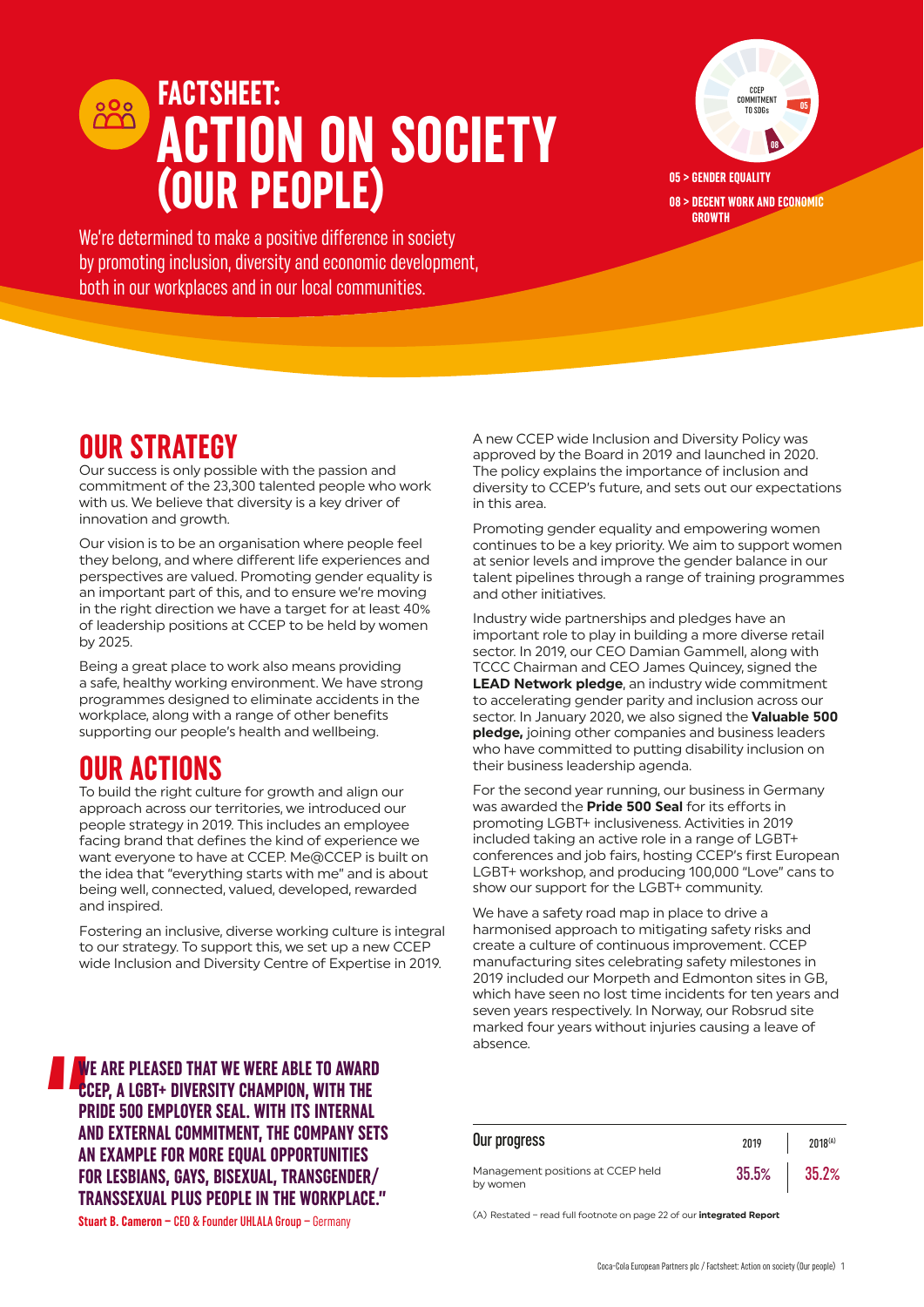# **FACTSHEET: ACTION ON SOCIETY (OUR PEOPLE)**



**05 > GENDER EQUALITY 08 > DECENT WORK AND ECONOMIC GROWTH**

We're determined to make a positive difference in society by promoting inclusion, diversity and economic development, both in our workplaces and in our local communities.

## **OUR STRATEGY**

Our success is only possible with the passion and commitment of the 23,300 talented people who work with us. We believe that diversity is a key driver of innovation and growth.

Our vision is to be an organisation where people feel they belong, and where different life experiences and perspectives are valued. Promoting gender equality is an important part of this, and to ensure we're moving in the right direction we have a target for at least 40% of leadership positions at CCEP to be held by women by 2025.

Being a great place to work also means providing a safe, healthy working environment. We have strong programmes designed to eliminate accidents in the workplace, along with a range of other benefits supporting our people's health and wellbeing.

### **OUR ACTIONS**

To build the right culture for growth and align our approach across our territories, we introduced our people strategy in 2019. This includes an employee facing brand that defines the kind of experience we want everyone to have at CCEP. Me@CCEP is built on the idea that "everything starts with me" and is about being well, connected, valued, developed, rewarded and inspired.

Fostering an inclusive, diverse working culture is integral to our strategy. To support this, we set up a new CCEP wide Inclusion and Diversity Centre of Expertise in 2019.

**1**<br> **1**<br> **1**<br> **1**<br> **1**<br> **1**<br> **1 WE ARE PLEASED THAT WE WERE ABLE TO AWARD CCEP, A LGBT+ DIVERSITY CHAMPION, WITH THE PRIDE 500 EMPLOYER SEAL. WITH ITS INTERNAL AND EXTERNAL COMMITMENT, THE COMPANY SETS AN EXAMPLE FOR MORE EQUAL OPPORTUNITIES FOR LESBIANS, GAYS, BISEXUAL, TRANSGENDER/ TRANSSEXUAL PLUS PEOPLE IN THE WORKPLACE."**

**Stuart B. Cameron –** CEO & Founder UHLALA Group – Germany

A new CCEP wide Inclusion and Diversity Policy was approved by the Board in 2019 and launched in 2020. The policy explains the importance of inclusion and diversity to CCEP's future, and sets out our expectations in this area.

Promoting gender equality and empowering women continues to be a key priority. We aim to support women at senior levels and improve the gender balance in our talent pipelines through a range of training programmes and other initiatives.

Industry wide partnerships and pledges have an important role to play in building a more diverse retail sector. In 2019, our CEO Damian Gammell, along with TCCC Chairman and CEO James Quincey, signed the **[LEAD Network pledge](https://www.lead-eu.net/sponsor-spotlight-2019-coca-cola-european-partners/)**, an industry wide commitment to accelerating gender parity and inclusion across our sector. In January 2020, we also signed the **[Valuable 500](https://www.cocacolaep.com/media/news/2020/coca-cola-european-partners-joins-disability-inclusion-campaign-the-valuable-2/)  [pledge,](https://www.cocacolaep.com/media/news/2020/coca-cola-european-partners-joins-disability-inclusion-campaign-the-valuable-2/)** joining other companies and business leaders who have committed to putting disability inclusion on their business leadership agenda.

For the second year running, our business in Germany was awarded the **[Pride 500 Seal](https://www.sticks-and-stones.com/pride-500-deutschlands-stolzeste-arbeitgeber-siegeltraeger/)** for its efforts in promoting LGBT+ inclusiveness. Activities in 2019 included taking an active role in a range of LGBT+ conferences and job fairs, hosting CCEP's first European LGBT+ workshop, and producing 100,000 "Love" cans to show our support for the LGBT+ community.

We have a safety road map in place to drive a harmonised approach to mitigating safety risks and create a culture of continuous improvement. CCEP manufacturing sites celebrating safety milestones in 2019 included our Morpeth and Edmonton sites in GB, which have seen no lost time incidents for ten years and seven years respectively. In Norway, our Robsrud site marked four years without injuries causing a leave of absence.

| Our progress                                  | 2019  | $2018^{(A)}$ |
|-----------------------------------------------|-------|--------------|
| Management positions at CCEP held<br>by women | 35.5% | 35.2%        |

(A) Restated – read full footnote on page 22 of our **[integrated Report](https://www.cocacolaep.com/assets/Sustainability/Documents/158f6ebd12/CCEP-2019-Integrated-Report-v2.pdf)**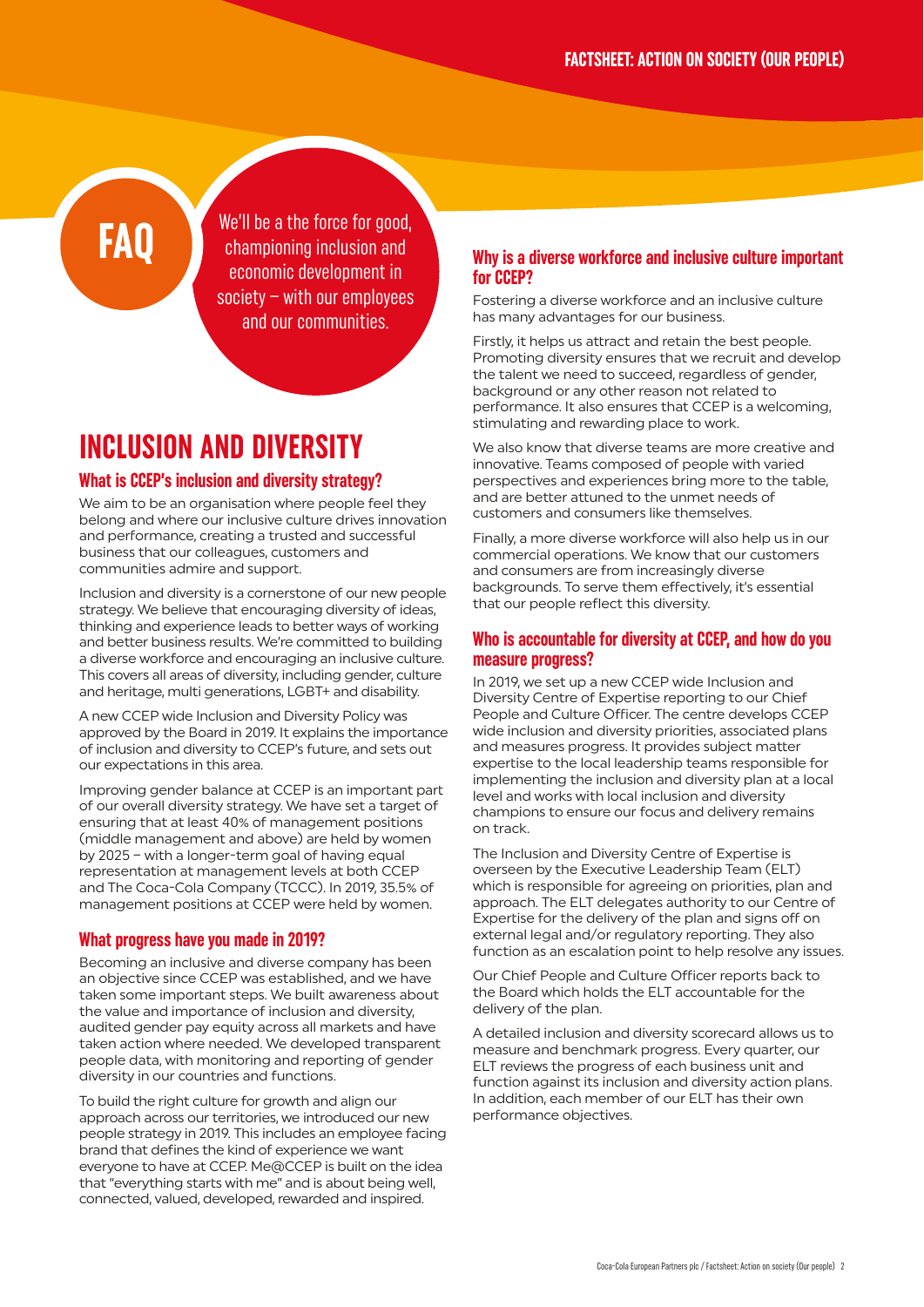We'll be a the force for good. championing inclusion and economic development in society – with our employees and our communities.

### **INCLUSION AND DIVERSITY**

### **What is CCEP's inclusion and diversity strategy?**

We aim to be an organisation where people feel they belong and where our inclusive culture drives innovation and performance, creating a trusted and successful business that our colleagues, customers and communities admire and support.

Inclusion and diversity is a cornerstone of our new people strategy. We believe that encouraging diversity of ideas, thinking and experience leads to better ways of working and better business results. We're committed to building a diverse workforce and encouraging an inclusive culture. This covers all areas of diversity, including gender, culture and heritage, multi generations, LGBT+ and disability.

A new CCEP wide Inclusion and Diversity Policy was approved by the Board in 2019. It explains the importance of inclusion and diversity to CCEP's future, and sets out our expectations in this area.

Improving gender balance at CCEP is an important part of our overall diversity strategy. We have set a target of ensuring that at least 40% of management positions (middle management and above) are held by women by 2025 – with a longer-term goal of having equal representation at management levels at both CCEP and The Coca-Cola Company (TCCC). In 2019, 35.5% of management positions at CCEP were held by women.

### **What progress have you made in 2019?**

Becoming an inclusive and diverse company has been an objective since CCEP was established, and we have taken some important steps. We built awareness about the value and importance of inclusion and diversity, audited gender pay equity across all markets and have taken action where needed. We developed transparent people data, with monitoring and reporting of gender diversity in our countries and functions.

To build the right culture for growth and align our approach across our territories, we introduced our new people strategy in 2019. This includes an employee facing brand that defines the kind of experience we want everyone to have at CCEP. Me@CCEP is built on the idea that "everything starts with me" and is about being well, connected, valued, developed, rewarded and inspired.

### **Why is a diverse workforce and inclusive culture important for CCEP?**

Fostering a diverse workforce and an inclusive culture has many advantages for our business.

Firstly, it helps us attract and retain the best people. Promoting diversity ensures that we recruit and develop the talent we need to succeed, regardless of gender, background or any other reason not related to performance. It also ensures that CCEP is a welcoming, stimulating and rewarding place to work.

We also know that diverse teams are more creative and innovative. Teams composed of people with varied perspectives and experiences bring more to the table, and are better attuned to the unmet needs of customers and consumers like themselves.

Finally, a more diverse workforce will also help us in our commercial operations. We know that our customers and consumers are from increasingly diverse backgrounds. To serve them effectively, it's essential that our people reflect this diversity.

### **Who is accountable for diversity at CCEP, and how do you measure progress?**

In 2019, we set up a new CCEP wide Inclusion and Diversity Centre of Expertise reporting to our Chief People and Culture Officer. The centre develops CCEP wide inclusion and diversity priorities, associated plans and measures progress. It provides subject matter expertise to the local leadership teams responsible for implementing the inclusion and diversity plan at a local level and works with local inclusion and diversity champions to ensure our focus and delivery remains on track.

The Inclusion and Diversity Centre of Expertise is overseen by the Executive Leadership Team (ELT) which is responsible for agreeing on priorities, plan and approach. The ELT delegates authority to our Centre of Expertise for the delivery of the plan and signs off on external legal and/or regulatory reporting. They also function as an escalation point to help resolve any issues.

Our Chief People and Culture Officer reports back to the Board which holds the ELT accountable for the delivery of the plan.

A detailed inclusion and diversity scorecard allows us to measure and benchmark progress. Every quarter, our ELT reviews the progress of each business unit and function against its inclusion and diversity action plans. In addition, each member of our ELT has their own performance objectives.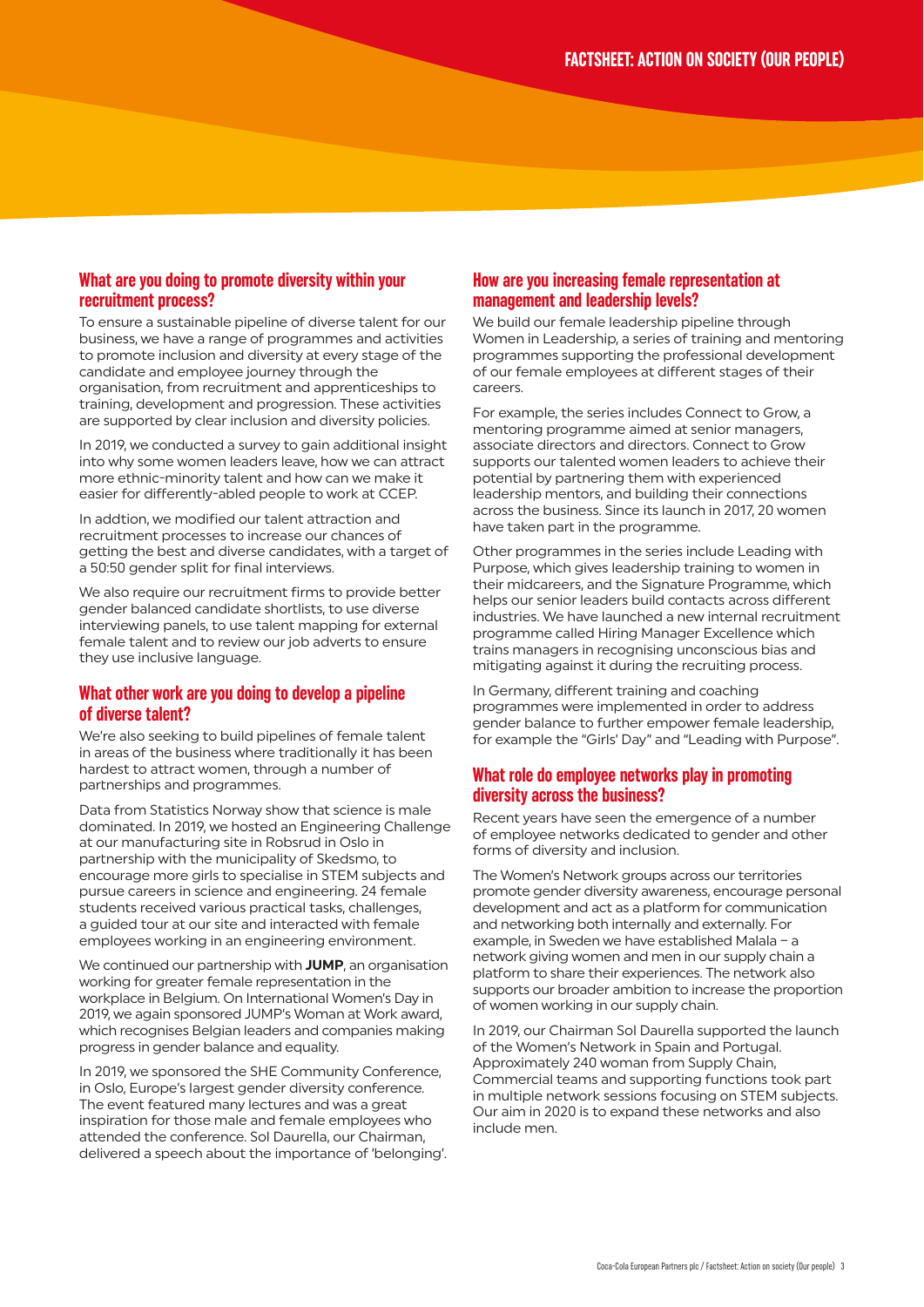### **What are you doing to promote diversity within your recruitment process?**

To ensure a sustainable pipeline of diverse talent for our business, we have a range of programmes and activities to promote inclusion and diversity at every stage of the candidate and employee journey through the organisation, from recruitment and apprenticeships to training, development and progression. These activities are supported by clear inclusion and diversity policies.

In 2019, we conducted a survey to gain additional insight into why some women leaders leave, how we can attract more ethnic-minority talent and how can we make it easier for differently-abled people to work at CCEP.

In addtion, we modified our talent attraction and recruitment processes to increase our chances of getting the best and diverse candidates, with a target of a 50:50 gender split for final interviews.

We also require our recruitment firms to provide better gender balanced candidate shortlists, to use diverse interviewing panels, to use talent mapping for external female talent and to review our job adverts to ensure they use inclusive language.

### **What other work are you doing to develop a pipeline of diverse talent?**

We're also seeking to build pipelines of female talent in areas of the business where traditionally it has been hardest to attract women, through a number of partnerships and programmes.

Data from Statistics Norway show that science is male dominated. In 2019, we hosted an Engineering Challenge at our manufacturing site in Robsrud in Oslo in partnership with the municipality of Skedsmo, to encourage more girls to specialise in STEM subjects and pursue careers in science and engineering. 24 female students received various practical tasks, challenges, a guided tour at our site and interacted with female employees working in an engineering environment.

We continued our partnership with **[JUMP](http://jump.eu.com/)**, an organisation working for greater female representation in the workplace in Belgium. On International Women's Day in 2019, we again sponsored JUMP's Woman at Work award, which recognises Belgian leaders and companies making progress in gender balance and equality.

In 2019, we sponsored the SHE Community Conference, in Oslo, Europe's largest gender diversity conference. The event featured many lectures and was a great inspiration for those male and female employees who attended the conference. Sol Daurella, our Chairman, delivered a speech about the importance of 'belonging'.

### **How are you increasing female representation at management and leadership levels?**

We build our female leadership pipeline through Women in Leadership, a series of training and mentoring programmes supporting the professional development of our female employees at different stages of their careers.

For example, the series includes Connect to Grow, a mentoring programme aimed at senior managers, associate directors and directors. Connect to Grow supports our talented women leaders to achieve their potential by partnering them with experienced leadership mentors, and building their connections across the business. Since its launch in 2017, 20 women have taken part in the programme.

Other programmes in the series include Leading with Purpose, which gives leadership training to women in their midcareers, and the Signature Programme, which helps our senior leaders build contacts across different industries. We have launched a new internal recruitment programme called Hiring Manager Excellence which trains managers in recognising unconscious bias and mitigating against it during the recruiting process.

In Germany, different training and coaching programmes were implemented in order to address gender balance to further empower female leadership, for example the "Girls' Day" and "Leading with Purpose".

### **What role do employee networks play in promoting diversity across the business?**

Recent years have seen the emergence of a number of employee networks dedicated to gender and other forms of diversity and inclusion.

The Women's Network groups across our territories promote gender diversity awareness, encourage personal development and act as a platform for communication and networking both internally and externally. For example, in Sweden we have established Malala – a network giving women and men in our supply chain a platform to share their experiences. The network also supports our broader ambition to increase the proportion of women working in our supply chain.

In 2019, our Chairman Sol Daurella supported the launch of the Women's Network in Spain and Portugal. Approximately 240 woman from Supply Chain, Commercial teams and supporting functions took part in multiple network sessions focusing on STEM subjects. Our aim in 2020 is to expand these networks and also include men.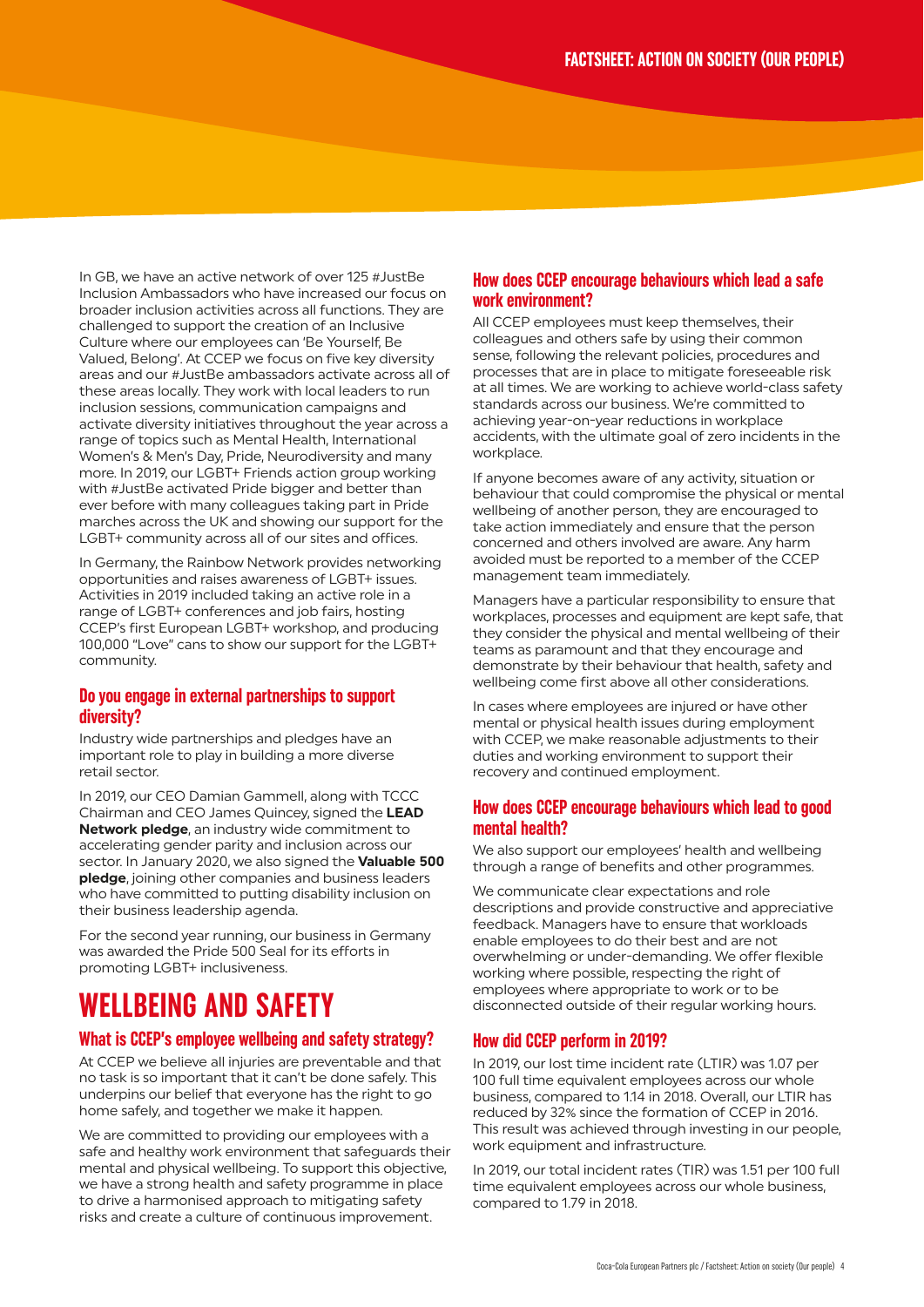In GB, we have an active network of over 125 #JustBe Inclusion Ambassadors who have increased our focus on broader inclusion activities across all functions. They are challenged to support the creation of an Inclusive Culture where our employees can 'Be Yourself, Be Valued, Belong'. At CCEP we focus on five key diversity areas and our #JustBe ambassadors activate across all of these areas locally. They work with local leaders to run inclusion sessions, communication campaigns and activate diversity initiatives throughout the year across a range of topics such as Mental Health, International Women's & Men's Day, Pride, Neurodiversity and many more. In 2019, our LGBT+ Friends action group working with #JustBe activated Pride bigger and better than ever before with many colleagues taking part in Pride marches across the UK and showing our support for the LGBT+ community across all of our sites and offices.

In Germany, the Rainbow Network provides networking opportunities and raises awareness of LGBT+ issues. Activities in 2019 included taking an active role in a range of LGBT+ conferences and job fairs, hosting CCEP's first European LGBT+ workshop, and producing 100,000 "Love" cans to show our support for the LGBT+ community.

### **Do you engage in external partnerships to support diversity?**

Industry wide partnerships and pledges have an important role to play in building a more diverse retail sector.

In 2019, our CEO Damian Gammell, along with TCCC Chairman and CEO James Quincey, signed the **[LEAD](https://www.lead-eu.net/sponsor-spotlight-2019-coca-cola-european-partners/)  [Network pledge](https://www.lead-eu.net/sponsor-spotlight-2019-coca-cola-european-partners/)**, an industry wide commitment to accelerating gender parity and inclusion across our sector. In January 2020, we also signed the **[Valuable 500](https://www.cocacolaep.com/media/news/2020/coca-cola-european-partners-joins-disability-inclusion-campaign-the-valuable-2/)  [pledge](https://www.cocacolaep.com/media/news/2020/coca-cola-european-partners-joins-disability-inclusion-campaign-the-valuable-2/)**, joining other companies and business leaders who have committed to putting disability inclusion on their business leadership agenda.

For the second year running, our business in Germany was awarded the Pride 500 Seal for its efforts in promoting LGBT+ inclusiveness.

### **WELLBEING AND SAFETY**

#### **What is CCEP's employee wellbeing and safety strategy?**

At CCEP we believe all injuries are preventable and that no task is so important that it can't be done safely. This underpins our belief that everyone has the right to go home safely, and together we make it happen.

We are committed to providing our employees with a safe and healthy work environment that safeguards their mental and physical wellbeing. To support this objective, we have a strong health and safety programme in place to drive a harmonised approach to mitigating safety risks and create a culture of continuous improvement.

### **How does CCEP encourage behaviours which lead a safe work environment?**

All CCEP employees must keep themselves, their colleagues and others safe by using their common sense, following the relevant policies, procedures and processes that are in place to mitigate foreseeable risk at all times. We are working to achieve world-class safety standards across our business. We're committed to achieving year-on-year reductions in workplace accidents, with the ultimate goal of zero incidents in the workplace.

If anyone becomes aware of any activity, situation or behaviour that could compromise the physical or mental wellbeing of another person, they are encouraged to take action immediately and ensure that the person concerned and others involved are aware. Any harm avoided must be reported to a member of the CCEP management team immediately.

Managers have a particular responsibility to ensure that workplaces, processes and equipment are kept safe, that they consider the physical and mental wellbeing of their teams as paramount and that they encourage and demonstrate by their behaviour that health, safety and wellbeing come first above all other considerations.

In cases where employees are injured or have other mental or physical health issues during employment with CCEP, we make reasonable adjustments to their duties and working environment to support their recovery and continued employment.

### **How does CCEP encourage behaviours which lead to good mental health?**

We also support our employees' health and wellbeing through a range of benefits and other programmes.

We communicate clear expectations and role descriptions and provide constructive and appreciative feedback. Managers have to ensure that workloads enable employees to do their best and are not overwhelming or under-demanding. We offer flexible working where possible, respecting the right of employees where appropriate to work or to be disconnected outside of their regular working hours.

### **How did CCEP perform in 2019?**

In 2019, our lost time incident rate (LTIR) was 1.07 per 100 full time equivalent employees across our whole business, compared to 1.14 in 2018. Overall, our LTIR has reduced by 32% since the formation of CCEP in 2016. This result was achieved through investing in our people, work equipment and infrastructure.

In 2019, our total incident rates (TIR) was 1.51 per 100 full time equivalent employees across our whole business, compared to 1.79 in 2018.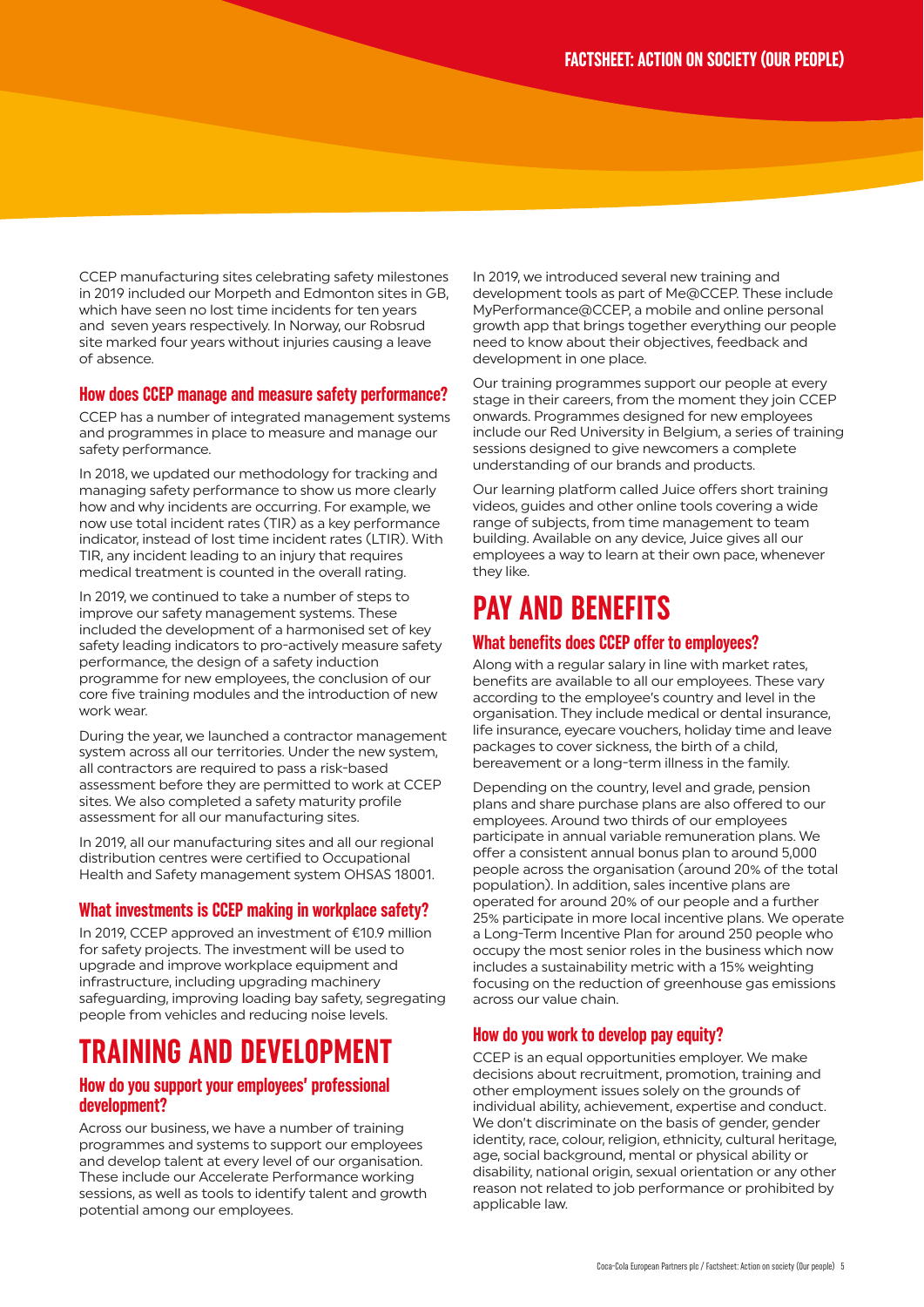CCEP manufacturing sites celebrating safety milestones in 2019 included our Morpeth and Edmonton sites in GB, which have seen no lost time incidents for ten years and seven years respectively. In Norway, our Robsrud site marked four years without injuries causing a leave of absence.

### **How does CCEP manage and measure safety performance?**

CCEP has a number of integrated management systems and programmes in place to measure and manage our safety performance.

In 2018, we updated our methodology for tracking and managing safety performance to show us more clearly how and why incidents are occurring. For example, we now use total incident rates (TIR) as a key performance indicator, instead of lost time incident rates (LTIR). With TIR, any incident leading to an injury that requires medical treatment is counted in the overall rating.

In 2019, we continued to take a number of steps to improve our safety management systems. These included the development of a harmonised set of key safety leading indicators to pro-actively measure safety performance, the design of a safety induction programme for new employees, the conclusion of our core five training modules and the introduction of new work wear.

During the year, we launched a contractor management system across all our territories. Under the new system, all contractors are required to pass a risk-based assessment before they are permitted to work at CCEP sites. We also completed a safety maturity profile assessment for all our manufacturing sites.

In 2019, all our manufacturing sites and all our regional distribution centres were certified to Occupational Health and Safety management system OHSAS 18001.

### **What investments is CCEP making in workplace safety?**

In 2019, CCEP approved an investment of €10.9 million for safety projects. The investment will be used to upgrade and improve workplace equipment and infrastructure, including upgrading machinery safeguarding, improving loading bay safety, segregating people from vehicles and reducing noise levels.

### **TRAINING AND DEVELOPMENT**

### **How do you support your employees' professional development?**

Across our business, we have a number of training programmes and systems to support our employees and develop talent at every level of our organisation. These include our Accelerate Performance working sessions, as well as tools to identify talent and growth potential among our employees.

In 2019, we introduced several new training and development tools as part of Me@CCEP. These include MyPerformance@CCEP, a mobile and online personal growth app that brings together everything our people need to know about their objectives, feedback and development in one place.

Our training programmes support our people at every stage in their careers, from the moment they join CCEP onwards. Programmes designed for new employees include our Red University in Belgium, a series of training sessions designed to give newcomers a complete understanding of our brands and products.

Our learning platform called Juice offers short training videos, guides and other online tools covering a wide range of subjects, from time management to team building. Available on any device, Juice gives all our employees a way to learn at their own pace, whenever they like.

### **PAY AND BENEFITS**

### **What benefits does CCEP offer to employees?**

Along with a regular salary in line with market rates, benefits are available to all our employees. These vary according to the employee's country and level in the organisation. They include medical or dental insurance, life insurance, eyecare vouchers, holiday time and leave packages to cover sickness, the birth of a child, bereavement or a long-term illness in the family.

Depending on the country, level and grade, pension plans and share purchase plans are also offered to our employees. Around two thirds of our employees participate in annual variable remuneration plans. We offer a consistent annual bonus plan to around 5,000 people across the organisation (around 20% of the total population). In addition, sales incentive plans are operated for around 20% of our people and a further 25% participate in more local incentive plans. We operate a Long-Term Incentive Plan for around 250 people who occupy the most senior roles in the business which now includes a sustainability metric with a 15% weighting focusing on the reduction of greenhouse gas emissions across our value chain.

### **How do you work to develop pay equity?**

CCEP is an equal opportunities employer. We make decisions about recruitment, promotion, training and other employment issues solely on the grounds of individual ability, achievement, expertise and conduct. We don't discriminate on the basis of gender, gender identity, race, colour, religion, ethnicity, cultural heritage, age, social background, mental or physical ability or disability, national origin, sexual orientation or any other reason not related to job performance or prohibited by applicable law.